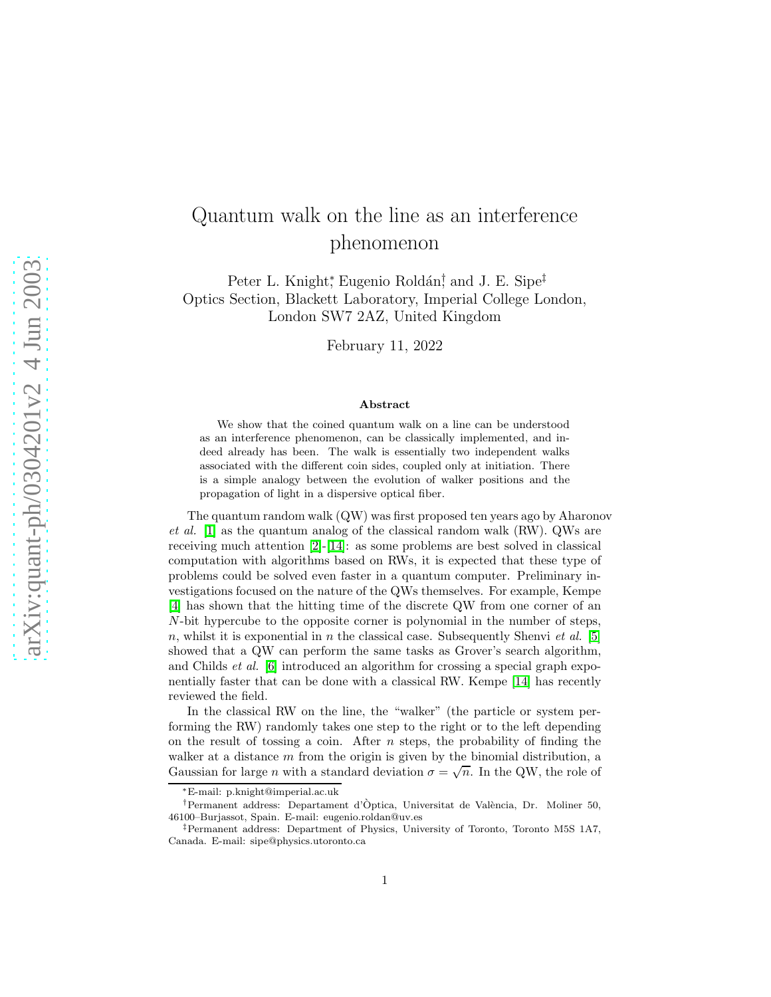## Quantum walk on the line as an interference phenomenon

Peter L. Knight<sup>\*</sup>, Eugenio Roldán<sup>†</sup>, and J. E. Sipe<sup>‡</sup> Optics Section, Blackett Laboratory, Imperial College London, London SW7 2AZ, United Kingdom

February 11, 2022

## Abstract

We show that the coined quantum walk on a line can be understood as an interference phenomenon, can be classically implemented, and indeed already has been. The walk is essentially two independent walks associated with the different coin sides, coupled only at initiation. There is a simple analogy between the evolution of walker positions and the propagation of light in a dispersive optical fiber.

The quantum random walk (QW) was first proposed ten years ago by Aharonov et al.  $[1]$  as the quantum analog of the classical random walk (RW). QWs are receiving much attention [\[2\]](#page-5-1)-[\[14\]](#page-6-0): as some problems are best solved in classical computation with algorithms based on RWs, it is expected that these type of problems could be solved even faster in a quantum computer. Preliminary investigations focused on the nature of the QWs themselves. For example, Kempe [\[4\]](#page-5-2) has shown that the hitting time of the discrete QW from one corner of an  $N$ -bit hypercube to the opposite corner is polynomial in the number of steps, n, whilst it is exponential in n the classical case. Subsequently Shenvi et al. [\[5\]](#page-5-3) showed that a QW can perform the same tasks as Grover's search algorithm, and Childs et al. [\[6\]](#page-5-4) introduced an algorithm for crossing a special graph exponentially faster that can be done with a classical RW. Kempe [\[14\]](#page-6-0) has recently reviewed the field.

In the classical RW on the line, the "walker" (the particle or system performing the RW) randomly takes one step to the right or to the left depending on the result of tossing a coin. After  $n$  steps, the probability of finding the walker at a distance m from the origin is given by the binomial distribution, a Gaussian for large *n* with a standard deviation  $\sigma = \sqrt{n}$ . In the QW, the role of

<sup>∗</sup>E-mail: p.knight@imperial.ac.uk

<sup>&</sup>lt;sup>†</sup>Permanent address: Departament d'Òptica, Universitat de València, Dr. Moliner 50, 46100–Burjassot, Spain. E-mail: eugenio.roldan@uv.es

<sup>‡</sup>Permanent address: Department of Physics, University of Toronto, Toronto M5S 1A7, Canada. E-mail: sipe@physics.utoronto.ca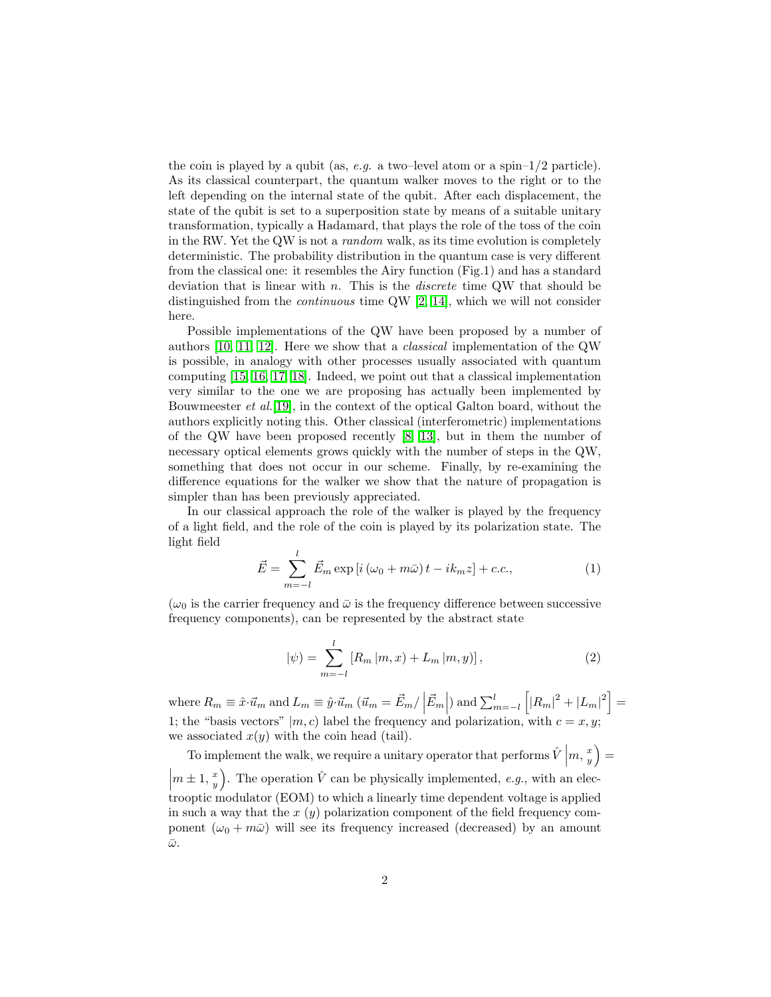the coin is played by a qubit (as, e.g. a two–level atom or a spin– $1/2$  particle). As its classical counterpart, the quantum walker moves to the right or to the left depending on the internal state of the qubit. After each displacement, the state of the qubit is set to a superposition state by means of a suitable unitary transformation, typically a Hadamard, that plays the role of the toss of the coin in the RW. Yet the QW is not a random walk, as its time evolution is completely deterministic. The probability distribution in the quantum case is very different from the classical one: it resembles the Airy function (Fig.1) and has a standard deviation that is linear with  $n$ . This is the *discrete* time QW that should be distinguished from the continuous time QW [\[2,](#page-5-1) [14\]](#page-6-0), which we will not consider here.

Possible implementations of the QW have been proposed by a number of authors [\[10,](#page-5-5) [11,](#page-5-6) [12\]](#page-6-1). Here we show that a classical implementation of the QW is possible, in analogy with other processes usually associated with quantum computing [\[15,](#page-6-2) [16,](#page-6-3) [17,](#page-6-4) [18\]](#page-6-5). Indeed, we point out that a classical implementation very similar to the one we are proposing has actually been implemented by Bouwmeester et al.[\[19\]](#page-6-6), in the context of the optical Galton board, without the authors explicitly noting this. Other classical (interferometric) implementations of the QW have been proposed recently [\[8,](#page-5-7) [13\]](#page-6-7), but in them the number of necessary optical elements grows quickly with the number of steps in the QW, something that does not occur in our scheme. Finally, by re-examining the difference equations for the walker we show that the nature of propagation is simpler than has been previously appreciated.

In our classical approach the role of the walker is played by the frequency of a light field, and the role of the coin is played by its polarization state. The light field

$$
\vec{E} = \sum_{m=-l}^{l} \vec{E}_m \exp\left[i\left(\omega_0 + m\bar{\omega}\right)t - ik_m z\right] + c.c.,\tag{1}
$$

 $(\omega_0)$  is the carrier frequency and  $\bar{\omega}$  is the frequency difference between successive frequency components), can be represented by the abstract state

$$
|\psi) = \sum_{m=-l}^{l} [R_m | m, x) + L_m | m, y],
$$
 (2)

where  $R_m \equiv \hat{x} \cdot \vec{u}_m$  and  $L_m \equiv \hat{y} \cdot \vec{u}_m$  ( $\vec{u}_m = \vec{E}_m / |\vec{E}_m|$ ) and  $\sum_{m=-l}^{l}$  $\left[ |R_m|^2 + |L_m|^2 \right] =$ 1; the "basis vectors"  $|m, c|$  label the frequency and polarization, with  $c = x, y$ ; we associated  $x(y)$  with the coin head (tail).

To implement the walk, we require a unitary operator that performs  $\hat{V}\left(m, x\atop y\right) = \hat{V}\left(m, x\atop y\right)$  $\left(m \pm 1, \frac{x}{y}\right)$ . The operation  $\hat{V}$  can be physically implemented, e.g., with an elec- $\begin{pmatrix} y \\ y \end{pmatrix}$  trooptic modulator (EOM) to which a linearly time dependent voltage is applied in such a way that the  $x(y)$  polarization component of the field frequency component  $(\omega_0 + m\bar{\omega})$  will see its frequency increased (decreased) by an amount  $\bar{\omega}.$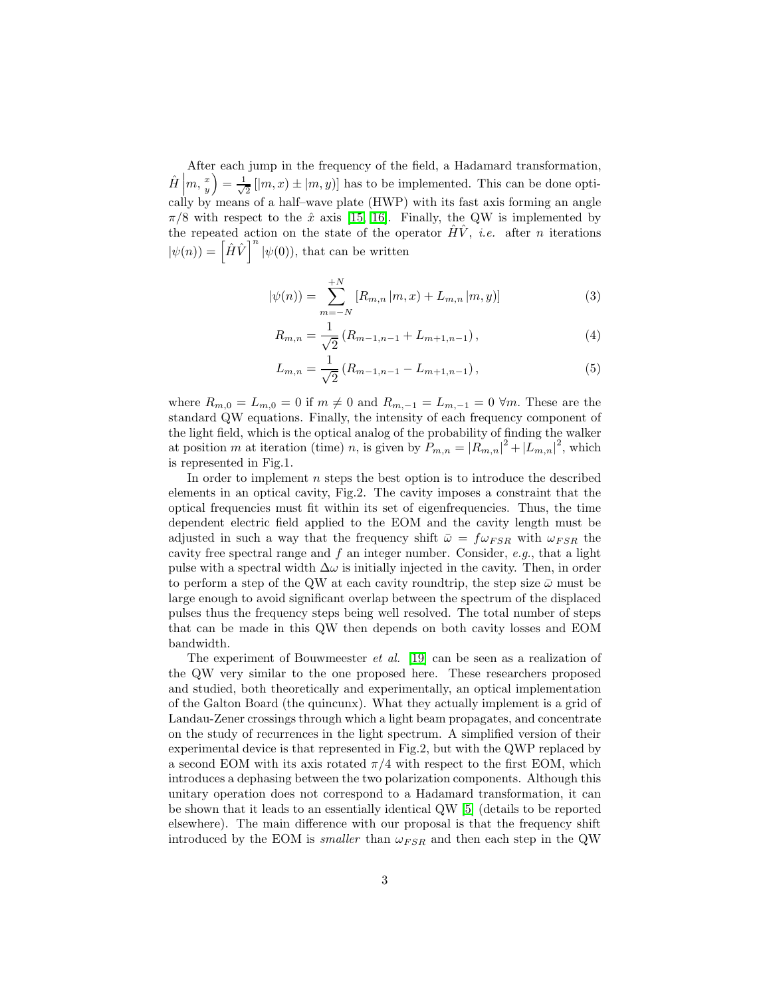After each jump in the frequency of the field, a Hadamard transformation,  $\hat{H}\left|m,\frac{x}{y}\right>=\frac{1}{\sqrt{2}}$  $\frac{1}{2}$   $[m, x) \pm [m, y)]$  has to be implemented. This can be done optically by means of a half–wave plate (HWP) with its fast axis forming an angle  $\pi/8$  with respect to the  $\hat{x}$  axis [\[15,](#page-6-2) [16\]](#page-6-3). Finally, the QW is implemented by the repeated action on the state of the operator  $H\dot{V}$ , *i.e.* after *n* iterations  $|\psi(n)\rangle = \left[\hat{H}\hat{V}\right]^n |\psi(0)\rangle$ , that can be written

$$
|\psi(n)\rangle = \sum_{m=-N}^{+N} \left[ R_{m,n} | m, x \right] + L_{m,n} | m, y \rangle ] \tag{3}
$$

<span id="page-2-0"></span>
$$
R_{m,n} = \frac{1}{\sqrt{2}} \left( R_{m-1,n-1} + L_{m+1,n-1} \right),\tag{4}
$$

<span id="page-2-1"></span>
$$
L_{m,n} = \frac{1}{\sqrt{2}} \left( R_{m-1,n-1} - L_{m+1,n-1} \right),\tag{5}
$$

where  $R_{m,0} = L_{m,0} = 0$  if  $m \neq 0$  and  $R_{m,-1} = L_{m,-1} = 0 \forall m$ . These are the standard QW equations. Finally, the intensity of each frequency component of the light field, which is the optical analog of the probability of finding the walker at position m at iteration (time) n, is given by  $P_{m,n} = |R_{m,n}|^2 + |L_{m,n}|^2$ , which is represented in Fig.1.

In order to implement  $n$  steps the best option is to introduce the described elements in an optical cavity, Fig.2. The cavity imposes a constraint that the optical frequencies must fit within its set of eigenfrequencies. Thus, the time dependent electric field applied to the EOM and the cavity length must be adjusted in such a way that the frequency shift  $\bar{\omega} = f \omega_{FSR}$  with  $\omega_{FSR}$  the cavity free spectral range and  $f$  an integer number. Consider,  $e.g.,$  that a light pulse with a spectral width  $\Delta\omega$  is initially injected in the cavity. Then, in order to perform a step of the QW at each cavity roundtrip, the step size  $\bar{\omega}$  must be large enough to avoid significant overlap between the spectrum of the displaced pulses thus the frequency steps being well resolved. The total number of steps that can be made in this QW then depends on both cavity losses and EOM bandwidth.

The experiment of Bouwmeester et al. [\[19\]](#page-6-6) can be seen as a realization of the QW very similar to the one proposed here. These researchers proposed and studied, both theoretically and experimentally, an optical implementation of the Galton Board (the quincunx). What they actually implement is a grid of Landau-Zener crossings through which a light beam propagates, and concentrate on the study of recurrences in the light spectrum. A simplified version of their experimental device is that represented in Fig.2, but with the QWP replaced by a second EOM with its axis rotated  $\pi/4$  with respect to the first EOM, which introduces a dephasing between the two polarization components. Although this unitary operation does not correspond to a Hadamard transformation, it can be shown that it leads to an essentially identical QW [\[5\]](#page-5-3) (details to be reported elsewhere). The main difference with our proposal is that the frequency shift introduced by the EOM is *smaller* than  $\omega_{FSR}$  and then each step in the QW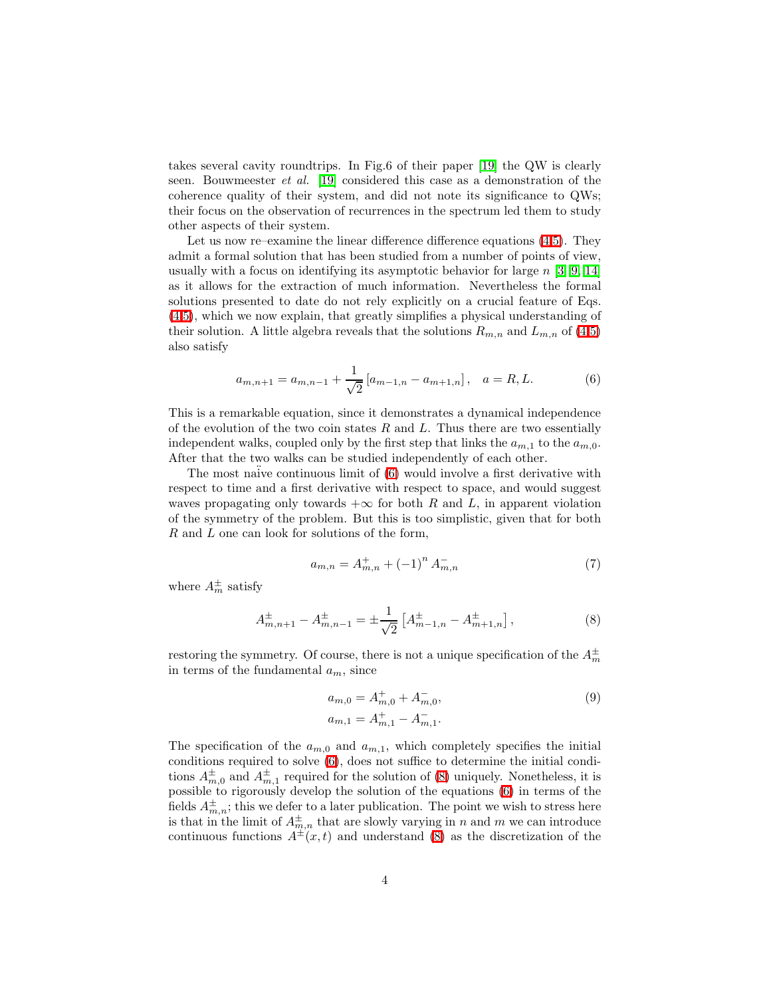takes several cavity roundtrips. In Fig.6 of their paper [\[19\]](#page-6-6) the QW is clearly seen. Bouwmeester et al. [\[19\]](#page-6-6) considered this case as a demonstration of the coherence quality of their system, and did not note its significance to QWs; their focus on the observation of recurrences in the spectrum led them to study other aspects of their system.

Let us now re–examine the linear difference difference equations  $(4,5)$  $(4,5)$ . They admit a formal solution that has been studied from a number of points of view, usually with a focus on identifying its asymptotic behavior for large  $n \geq 3, 9, 14$  $n \geq 3, 9, 14$  $n \geq 3, 9, 14$ as it allows for the extraction of much information. Nevertheless the formal solutions presented to date do not rely explicitly on a crucial feature of Eqs. [\(4](#page-2-0)[,5\)](#page-2-1), which we now explain, that greatly simplifies a physical understanding of their solution. A little algebra reveals that the solutions  $R_{m,n}$  and  $L_{m,n}$  of [\(4,](#page-2-0)[5\)](#page-2-1) also satisfy

$$
a_{m,n+1} = a_{m,n-1} + \frac{1}{\sqrt{2}} \left[ a_{m-1,n} - a_{m+1,n} \right], \quad a = R, L.
$$
 (6)

<span id="page-3-0"></span>This is a remarkable equation, since it demonstrates a dynamical independence of the evolution of the two coin states  $R$  and  $L$ . Thus there are two essentially independent walks, coupled only by the first step that links the  $a_{m,1}$  to the  $a_{m,0}$ . After that the two walks can be studied independently of each other.

The most naive continuous limit of  $(6)$  would involve a first derivative with respect to time and a first derivative with respect to space, and would suggest waves propagating only towards  $+\infty$  for both R and L, in apparent violation of the symmetry of the problem. But this is too simplistic, given that for both  $R$  and  $L$  one can look for solutions of the form,

$$
a_{m,n} = A_{m,n}^+ + (-1)^n A_{m,n}^- \tag{7}
$$

<span id="page-3-3"></span><span id="page-3-1"></span>where  $A_m^{\pm}$  satisfy

$$
A_{m,n+1}^{\pm} - A_{m,n-1}^{\pm} = \pm \frac{1}{\sqrt{2}} \left[ A_{m-1,n}^{\pm} - A_{m+1,n}^{\pm} \right],
$$
 (8)

restoring the symmetry. Of course, there is not a unique specification of the  $A_m^{\pm}$ in terms of the fundamental  $a_m$ , since

<span id="page-3-2"></span>
$$
a_{m,0} = A_{m,0}^+ + A_{m,0}^-,\tag{9}
$$
  

$$
a_{m,1} = A_{m,1}^+ - A_{m,1}^-.
$$

The specification of the  $a_{m,0}$  and  $a_{m,1}$ , which completely specifies the initial conditions required to solve [\(6\)](#page-3-0), does not suffice to determine the initial conditions  $A_{m,0}^{\pm}$  and  $A_{m,1}^{\pm}$  required for the solution of [\(8\)](#page-3-1) uniquely. Nonetheless, it is possible to rigorously develop the solution of the equations [\(6\)](#page-3-0) in terms of the fields  $A_{m,n}^{\pm}$ ; this we defer to a later publication. The point we wish to stress here is that in the limit of  $A_{m,n}^{\pm}$  that are slowly varying in n and m we can introduce continuous functions  $A^{\pm}(x,t)$  and understand [\(8\)](#page-3-1) as the discretization of the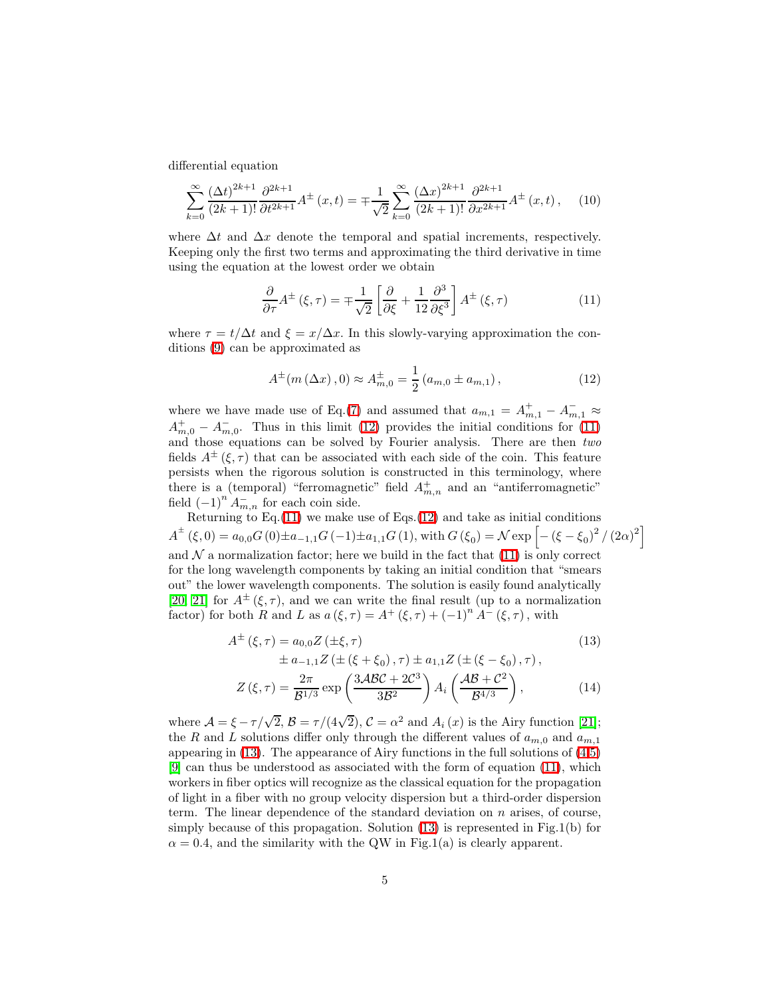differential equation

$$
\sum_{k=0}^{\infty} \frac{(\Delta t)^{2k+1}}{(2k+1)!} \frac{\partial^{2k+1}}{\partial t^{2k+1}} A^{\pm}(x,t) = \mp \frac{1}{\sqrt{2}} \sum_{k=0}^{\infty} \frac{(\Delta x)^{2k+1}}{(2k+1)!} \frac{\partial^{2k+1}}{\partial x^{2k+1}} A^{\pm}(x,t), \quad (10)
$$

where  $\Delta t$  and  $\Delta x$  denote the temporal and spatial increments, respectively. Keeping only the first two terms and approximating the third derivative in time using the equation at the lowest order we obtain

<span id="page-4-1"></span><span id="page-4-0"></span>
$$
\frac{\partial}{\partial \tau} A^{\pm} (\xi, \tau) = \mp \frac{1}{\sqrt{2}} \left[ \frac{\partial}{\partial \xi} + \frac{1}{12} \frac{\partial^3}{\partial \xi^3} \right] A^{\pm} (\xi, \tau) \tag{11}
$$

where  $\tau = t/\Delta t$  and  $\xi = x/\Delta x$ . In this slowly-varying approximation the conditions [\(9\)](#page-3-2) can be approximated as

$$
A^{\pm}(m(\Delta x), 0) \approx A^{\pm}_{m,0} = \frac{1}{2} (a_{m,0} \pm a_{m,1}),
$$
 (12)

where we have made use of Eq.[\(7\)](#page-3-3) and assumed that  $a_{m,1} = A^+_{m,1} - A^-_{m,1} \approx$  $A_{m,0}^+ - A_{m,0}^-$ . Thus in this limit [\(12\)](#page-4-0) provides the initial conditions for [\(11\)](#page-4-1) and those equations can be solved by Fourier analysis. There are then two fields  $A^{\pm}(\xi, \tau)$  that can be associated with each side of the coin. This feature persists when the rigorous solution is constructed in this terminology, where there is a (temporal) "ferromagnetic" field  $A_{m,n}^+$  and an "antiferromagnetic" field  $(-1)^n A_{m,n}^-$  for each coin side.

Returning to Eq. $(11)$  we make use of Eqs. $(12)$  and take as initial conditions  $A^{\pm}(\xi,0) = a_{0,0}G(0) \pm a_{-1,1}G(-1) \pm a_{1,1}G(1)$ , with  $G(\xi_0) = \mathcal{N} \exp \left[ -(\xi - \xi_0)^2 / (2\alpha)^2 \right]$ and  $\mathcal N$  a normalization factor; here we build in the fact that [\(11\)](#page-4-1) is only correct for the long wavelength components by taking an initial condition that "smears out" the lower wavelength components. The solution is easily found analytically [\[20,](#page-6-8) [21\]](#page-6-9) for  $A^{\pm}(\xi, \tau)$ , and we can write the final result (up to a normalization factor) for both R and L as  $a(\xi, \tau) = A^+(\xi, \tau) + (-1)^n A^-(\xi, \tau)$ , with

<span id="page-4-2"></span>
$$
A^{\pm} (\xi, \tau) = a_{0,0} Z (\pm \xi, \tau)
$$
\n
$$
\pm a_{-1,1} Z (\pm (\xi + \xi_0), \tau) \pm a_{1,1} Z (\pm (\xi - \xi_0), \tau),
$$
\n
$$
Z (\xi, \tau) = \frac{2\pi}{\mathcal{B}^{1/3}} \exp\left(\frac{3\mathcal{A}\mathcal{B}\mathcal{C} + 2\mathcal{C}^3}{3\mathcal{B}^2}\right) A_i \left(\frac{\mathcal{A}\mathcal{B} + \mathcal{C}^2}{\mathcal{B}^{4/3}}\right),
$$
\n(14)

where  $\mathcal{A} = \xi - \tau/\sqrt{2}$ ,  $\mathcal{B} = \tau/(4\sqrt{2})$ ,  $\mathcal{C} = \alpha^2$  and  $A_i(x)$  is the Airy function [\[21\]](#page-6-9); the R and L solutions differ only through the different values of  $a_{m,0}$  and  $a_{m,1}$ appearing in  $(13)$ . The appearance of Airy functions in the full solutions of  $(4,5)$  $(4,5)$ [\[9\]](#page-5-9) can thus be understood as associated with the form of equation [\(11\)](#page-4-1), which workers in fiber optics will recognize as the classical equation for the propagation of light in a fiber with no group velocity dispersion but a third-order dispersion term. The linear dependence of the standard deviation on  $n$  arises, of course, simply because of this propagation. Solution [\(13\)](#page-4-2) is represented in Fig.1(b) for  $\alpha = 0.4$ , and the similarity with the QW in Fig.1(a) is clearly apparent.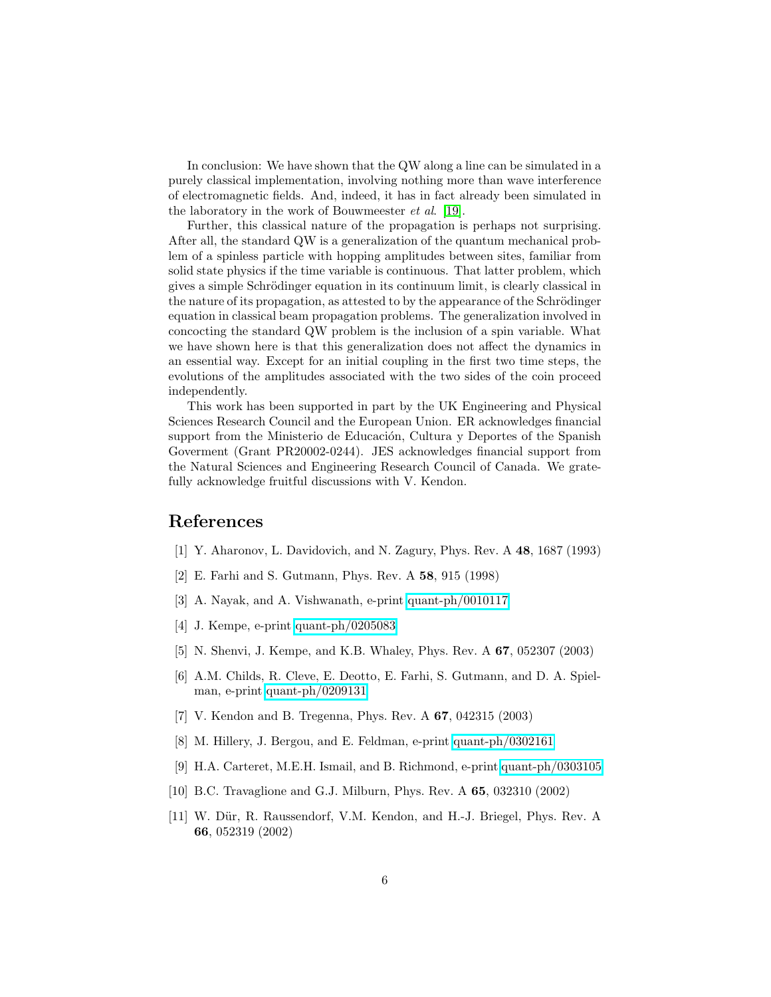In conclusion: We have shown that the QW along a line can be simulated in a purely classical implementation, involving nothing more than wave interference of electromagnetic fields. And, indeed, it has in fact already been simulated in the laboratory in the work of Bouwmeester et al. [\[19\]](#page-6-6).

Further, this classical nature of the propagation is perhaps not surprising. After all, the standard QW is a generalization of the quantum mechanical problem of a spinless particle with hopping amplitudes between sites, familiar from solid state physics if the time variable is continuous. That latter problem, which gives a simple Schrödinger equation in its continuum limit, is clearly classical in the nature of its propagation, as attested to by the appearance of the Schrödinger equation in classical beam propagation problems. The generalization involved in concocting the standard QW problem is the inclusion of a spin variable. What we have shown here is that this generalization does not affect the dynamics in an essential way. Except for an initial coupling in the first two time steps, the evolutions of the amplitudes associated with the two sides of the coin proceed independently.

This work has been supported in part by the UK Engineering and Physical Sciences Research Council and the European Union. ER acknowledges financial support from the Ministerio de Educación, Cultura y Deportes of the Spanish Goverment (Grant PR20002-0244). JES acknowledges financial support from the Natural Sciences and Engineering Research Council of Canada. We gratefully acknowledge fruitful discussions with V. Kendon.

## <span id="page-5-0"></span>References

- <span id="page-5-1"></span>[1] Y. Aharonov, L. Davidovich, and N. Zagury, Phys. Rev. A 48, 1687 (1993)
- <span id="page-5-8"></span>[2] E. Farhi and S. Gutmann, Phys. Rev. A 58, 915 (1998)
- <span id="page-5-2"></span>[3] A. Nayak, and A. Vishwanath, e-print [quant-ph/0010117](http://arxiv.org/abs/quant-ph/0010117)
- <span id="page-5-3"></span>[4] J. Kempe, e-print [quant-ph/0205083](http://arxiv.org/abs/quant-ph/0205083)
- <span id="page-5-4"></span>[5] N. Shenvi, J. Kempe, and K.B. Whaley, Phys. Rev. A 67, 052307 (2003)
- [6] A.M. Childs, R. Cleve, E. Deotto, E. Farhi, S. Gutmann, and D. A. Spielman, e-print [quant-ph/0209131](http://arxiv.org/abs/quant-ph/0209131)
- <span id="page-5-7"></span>[7] V. Kendon and B. Tregenna, Phys. Rev. A 67, 042315 (2003)
- <span id="page-5-9"></span>[8] M. Hillery, J. Bergou, and E. Feldman, e-print [quant-ph/0302161](http://arxiv.org/abs/quant-ph/0302161)
- [9] H.A. Carteret, M.E.H. Ismail, and B. Richmond, e-print [quant-ph/0303105](http://arxiv.org/abs/quant-ph/0303105)
- <span id="page-5-6"></span><span id="page-5-5"></span>[10] B.C. Travaglione and G.J. Milburn, Phys. Rev. A 65, 032310 (2002)
- [11] W. Dür, R. Raussendorf, V.M. Kendon, and H.-J. Briegel, Phys. Rev. A 66, 052319 (2002)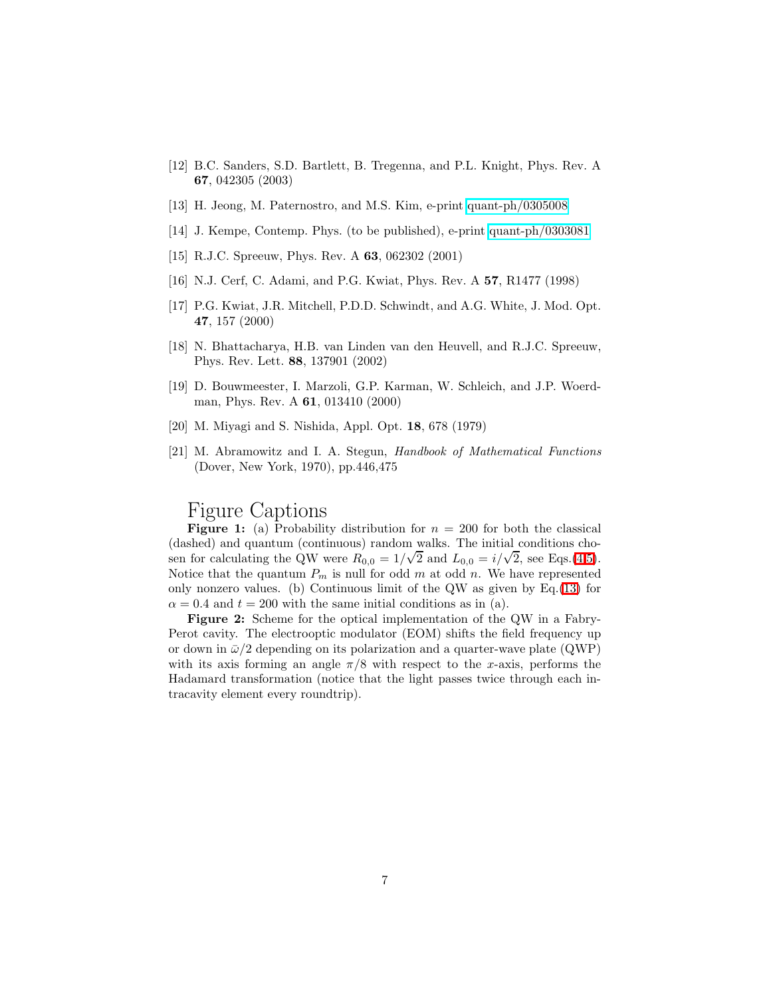- <span id="page-6-1"></span>[12] B.C. Sanders, S.D. Bartlett, B. Tregenna, and P.L. Knight, Phys. Rev. A 67, 042305 (2003)
- <span id="page-6-7"></span><span id="page-6-0"></span>[13] H. Jeong, M. Paternostro, and M.S. Kim, e-print [quant-ph/0305008](http://arxiv.org/abs/quant-ph/0305008)
- <span id="page-6-2"></span>[14] J. Kempe, Contemp. Phys. (to be published), e-print [quant-ph/0303081](http://arxiv.org/abs/quant-ph/0303081)
- <span id="page-6-3"></span>[15] R.J.C. Spreeuw, Phys. Rev. A 63, 062302 (2001)
- <span id="page-6-4"></span>[16] N.J. Cerf, C. Adami, and P.G. Kwiat, Phys. Rev. A 57, R1477 (1998)
- [17] P.G. Kwiat, J.R. Mitchell, P.D.D. Schwindt, and A.G. White, J. Mod. Opt. 47, 157 (2000)
- <span id="page-6-6"></span><span id="page-6-5"></span>[18] N. Bhattacharya, H.B. van Linden van den Heuvell, and R.J.C. Spreeuw, Phys. Rev. Lett. 88, 137901 (2002)
- [19] D. Bouwmeester, I. Marzoli, G.P. Karman, W. Schleich, and J.P. Woerdman, Phys. Rev. A 61, 013410 (2000)
- <span id="page-6-9"></span><span id="page-6-8"></span>[20] M. Miyagi and S. Nishida, Appl. Opt. 18, 678 (1979)
- [21] M. Abramowitz and I. A. Stegun, Handbook of Mathematical Functions (Dover, New York, 1970), pp.446,475

## Figure Captions

**Figure 1:** (a) Probability distribution for  $n = 200$  for both the classical (dashed) and quantum (continuous) random walks. The initial conditions chosen for calculating the QW were  $R_{0,0} = 1/\sqrt{2}$  and  $L_{0,0} = i/\sqrt{2}$ , see Eqs.[\(4,](#page-2-0)[5\)](#page-2-1). Notice that the quantum  $P_m$  is null for odd m at odd n. We have represented only nonzero values. (b) Continuous limit of the QW as given by Eq.[\(13\)](#page-4-2) for  $\alpha = 0.4$  and  $t = 200$  with the same initial conditions as in (a).

Figure 2: Scheme for the optical implementation of the QW in a Fabry-Perot cavity. The electrooptic modulator (EOM) shifts the field frequency up or down in  $\bar{\omega}/2$  depending on its polarization and a quarter-wave plate (QWP) with its axis forming an angle  $\pi/8$  with respect to the x-axis, performs the Hadamard transformation (notice that the light passes twice through each intracavity element every roundtrip).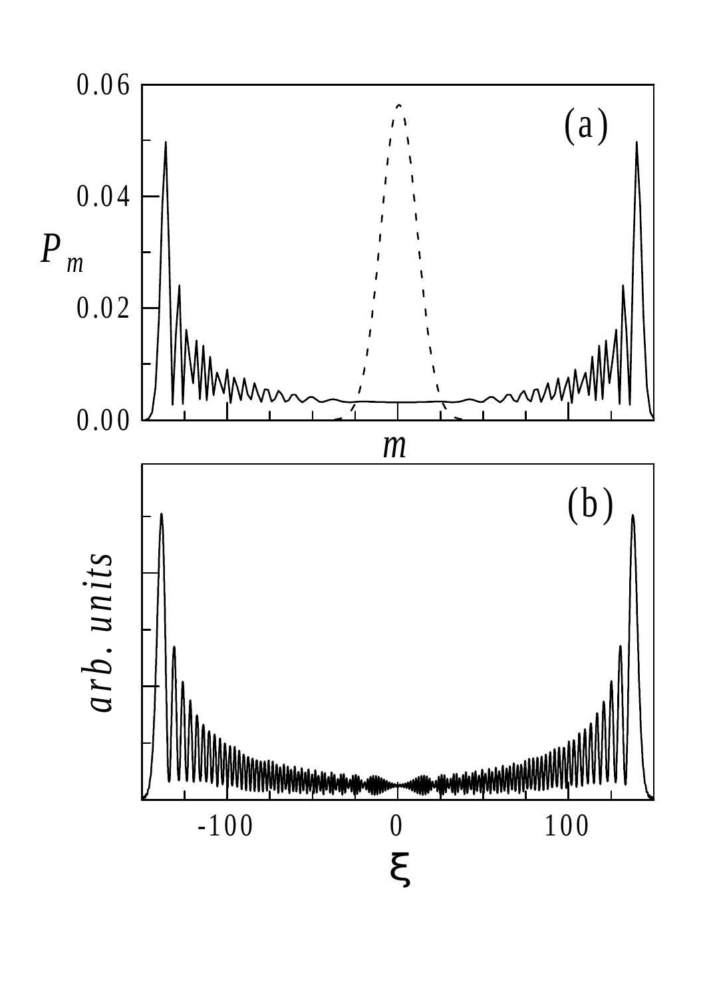